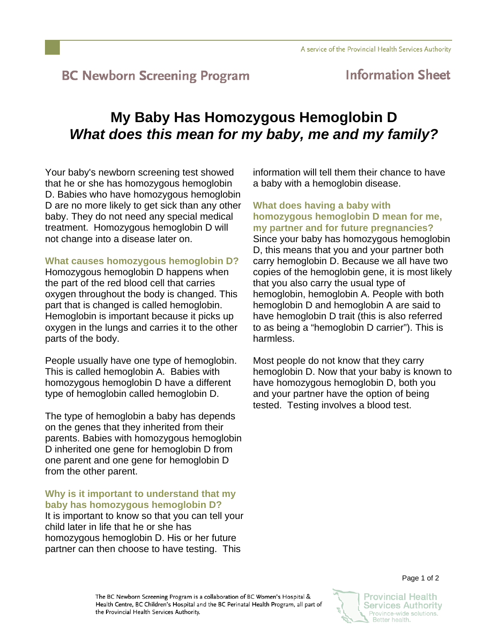# **BC Newborn Screening Program**

## **Information Sheet**

# **My Baby Has Homozygous Hemoglobin D**  *What does this mean for my baby, me and my family?*

Your baby's newborn screening test showed that he or she has homozygous hemoglobin D. Babies who have homozygous hemoglobin D are no more likely to get sick than any other baby. They do not need any special medical treatment. Homozygous hemoglobin D will not change into a disease later on.

### **What causes homozygous hemoglobin D?**

Homozygous hemoglobin D happens when the part of the red blood cell that carries oxygen throughout the body is changed. This part that is changed is called hemoglobin. Hemoglobin is important because it picks up oxygen in the lungs and carries it to the other parts of the body.

People usually have one type of hemoglobin. This is called hemoglobin A. Babies with homozygous hemoglobin D have a different type of hemoglobin called hemoglobin D.

The type of hemoglobin a baby has depends on the genes that they inherited from their parents. Babies with homozygous hemoglobin D inherited one gene for hemoglobin D from one parent and one gene for hemoglobin D from the other parent.

### **Why is it important to understand that my baby has homozygous hemoglobin D?**

It is important to know so that you can tell your child later in life that he or she has homozygous hemoglobin D. His or her future partner can then choose to have testing. This

information will tell them their chance to have a baby with a hemoglobin disease.

**What does having a baby with homozygous hemoglobin D mean for me, my partner and for future pregnancies?**

Since your baby has homozygous hemoglobin D, this means that you and your partner both carry hemoglobin D. Because we all have two copies of the hemoglobin gene, it is most likely that you also carry the usual type of hemoglobin, hemoglobin A. People with both hemoglobin D and hemoglobin A are said to have hemoglobin D trait (this is also referred to as being a "hemoglobin D carrier"). This is harmless.

Most people do not know that they carry hemoglobin D. Now that your baby is known to have homozygous hemoglobin D, both you and your partner have the option of being tested. Testing involves a blood test.

The BC Newborn Screening Program is a collaboration of BC Women's Hospital & Health Centre, BC Children's Hospital and the BC Perinatal Health Program, all part of the Provincial Health Services Authority.